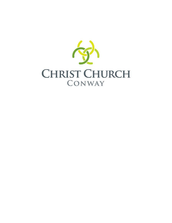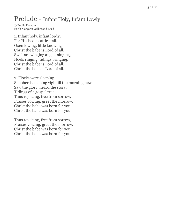## Prelude - Infant Holy, Infant Lowly

© Public Domain Edith Margaret Gellibrand Reed

1. Infant holy, infant lowly, For His bed a cattle stall. Oxen lowing, little knowing Christ the babe is Lord of all. Swift are winging angels singing, Noels ringing, tidings bringing, Christ the babe is Lord of all. Christ the babe is Lord of all.

2. Flocks were sleeping. Shepherds keeping vigil till the morning new Saw the glory, heard the story, Tidings of a gospel true. Thus rejoicing, free from sorrow, Praises voicing, greet the morrow. Christ the babe was born for you. Christ the babe was born for you.

Thus rejoicing, free from sorrow, Praises voicing, greet the morrow. Christ the babe was born for you. Christ the babe was born for you.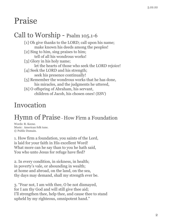# Praise

### Call to Worship - Psalm 105.1-6

[1] Oh give thanks to the LORD; call upon his name; make known his deeds among the peoples! [2] Sing to him, sing praises to him; tell of all his wondrous works! [3] Glory in his holy name; let the hearts of those who seek the LORD rejoice! [4] Seek the LORD and his strength; seek his presence continually! [5] Remember the wondrous works that he has done, his miracles, and the judgments he uttered, [6] O offspring of Abraham, his servant, children of Jacob, his chosen ones! (ESV)

## Invocation

## Hymn of Praise - How Firm a Foundation

Words: R. Keene. Music: American folk tune. © Public Domain.

1. How firm a foundation, you saints of the Lord, is laid for your faith in His excellent Word! What more can he say than to you he hath said, You who unto Jesus for refuge have fled?

2. In every condition, in sickness, in health; in poverty's vale, or abounding in wealth; at home and abroad, on the land, on the sea, thy days may demand, shall my strength ever be.

3. "Fear not, I am with thee, O be not dismayed, for I am thy God and will still give thee aid; I'll strengthen thee, help thee, and cause thee to stand upheld by my righteous, omnipotent hand."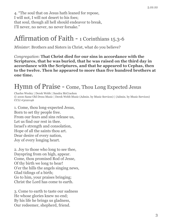4. "The soul that on Jesus hath leaned for repose, I will not, I will not desert to his foes; that soul, though all hell should endeavor to break, I'll never, no never, no never forsake."

### Affirmation of Faith - 1 Corinthians 15.3-6

*Minister*: Brothers and Sisters in Christ, what do you believe?

*Congregation*: **That Christ died for our sins in accordance with the Scriptures, that he was buried, that he was raised on the third day in accordance with the Scriptures, and that he appeared to Cephas, then to the twelve. Then he appeared to more than five hundred brothers at one time.**

### Hymn of Praise - Come, Thou Long Expected Jesus

Charles Wesley | Derek Webb | Sandra McCracken © 2000 Same Old Dress Music | Derek Webb Music (Admin. by Music Services) | (Admin. by Music Services) CCLI #3020146

1. Come, thou long-expected Jesus, Born to set thy people free. From our fears and sins release us, Let us find our rest in thee. Israel's strength and consolation, Hope of all the saints thou art. Dear desire of every nation, Joy of every longing heart.

2. Joy to those who long to see thee, Dayspring from on high, appear. Come, thou promised Rod of Jesse, Of thy birth we long to hear! O'er the hills the angels singing news, Glad tidings of a birth; Go to him, your praises bringing; Christ the Lord has come to earth.

3. Come to earth to taste our sadness He whose glories knew no end; By his life he brings us gladness, Our redeemer, shepherd, friend.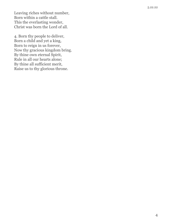Leaving riches without number, Born within a cattle stall. This the everlasting wonder, Christ was born the Lord of all.

4. Born thy people to deliver, Born a child and yet a king, Born to reign in us forever, Now thy gracious kingdom bring. By thine own eternal Spirit, Rule in all our hearts alone; By thine all sufficient merit, Raise us to thy glorious throne.

5.22.22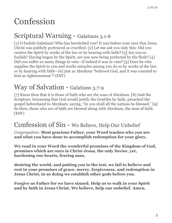# Confession

## Scriptural Warning - Galatians 3.1-6

[1] O foolish Galatians! Who has bewitched you? It was before your eyes that Jesus Christ was publicly portrayed as crucified. [2] Let me ask you only this: Did you receive the Spirit by works of the law or by hearing with faith? [3] Are you so foolish? Having begun by the Spirit, are you now being perfected by the flesh? [4] Did you suffer so many things in vain—if indeed it was in vain? [5] Does he who supplies the Spirit to you and works miracles among you do so by works of the law, or by hearing with faith—[6] just as Abraham "believed God, and it was counted to him as righteousness"? (ESV)

## Way of Salvation - Galatians 3.7-9

[7] Know then that it is those of faith who are the sons of Abraham. [8] And the Scripture, foreseeing that God would justify the Gentiles by faith, preached the gospel beforehand to Abraham, saying, "In you shall all the nations be blessed." [9] So then, those who are of faith are blessed along with Abraham, the man of faith. (ESV)

### Confession of Sin - We Believe, Help Our Unbelief

*Congregation:* **Most gracious Father, your Word teaches who you are and what you have done to accomplish redemption for your glory.**

**We read in your Word the wonderful promises of the Kingdom of God, promises which are ours in Christ Jesus, the only Savior, yet, hardening our hearts, fearing man,**

**desiring the world, and putting you to the test, we fail to believe and rest in your promises of grace, mercy, forgiveness, and redemption in Jesus Christ, in so doing we establish other gods before you.**

**Forgive us Father for we have sinned. Help us to walk in your Spirit and by faith in Jesus Christ. We believe, help our unbelief. Amen.**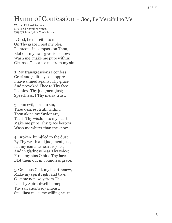## Hymn of Confession - God, Be Merciful to Me

Words: Richard Redhead. Music: Christopher Miner. ©1997 Christopher Miner Music.

1. God, be merciful to me; On Thy grace I rest my plea Plenteous in compassion Thou, Blot out my transgressions now; Wash me, make me pure within; Cleanse, O cleanse me from my sin.

2. My transgressions I confess; Grief and guilt my soul oppress. I have sinned against Thy grace, And provoked Thee to Thy face. I confess Thy judgment just; Speechless, I Thy mercy trust.

3. I am evil, born in sin; Thou desirest truth within. Thou alone my Savior art, Teach Thy wisdom to my heart; Make me pure, Thy grace bestow, Wash me whiter than the snow.

4. Broken, humbled to the dust By Thy wrath and judgment just, Let my contrite heart rejoice, And in gladness hear Thy voice; From my sins O hide Thy face, Blot them out in boundless grace.

5. Gracious God, my heart renew, Make my spirit right and true. Cast me not away from Thee, Let Thy Spirit dwell in me; Thy salvation's joy impart, Steadfast make my willing heart.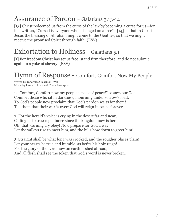## Assurance of Pardon - Galatians 3.13-14

[13] Christ redeemed us from the curse of the law by becoming a curse for us—for it is written, "Cursed is everyone who is hanged on a tree"—[14] so that in Christ Jesus the blessing of Abraham might come to the Gentiles, so that we might receive the promised Spirit through faith. (ESV)

## Exhortation to Holiness - Galatians 5.1

[1] For freedom Christ has set us free; stand firm therefore, and do not submit again to a yoke of slavery. (ESV)

#### Hymn of Response - Comfort, Comfort Now My People

Words by Johannes Olearius (1671) Music by Lance Johnston & Treva Blomquist

1. "Comfort, Comfort now my people; speak of peace!" so says our God. Comfort those who sit in darkness, mourning under sorrow's load. To God's people now proclaim that God's pardon waits for them! Tell them that their war is over; God will reign in peace forever.

2. For the herald's voice is crying in the desert far and near, Calling us to true repentance since the kingdom now is here Oh, that warning cry obey! Now prepare for God a way! Let the valleys rise to meet him, and the hills bow down to greet him!

3. Straight shall be what long was crooked, and the rougher places plain! Let your hearts be true and humble, as befits his holy reign! For the glory of the Lord now on earth is shed abroad, And all flesh shall see the token that God's word is never broken.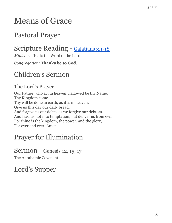# Means of Grace

## Pastoral Prayer

# Scripture Reading - [Galatians 3.1-18](http://www.esv.org/galatians+3/)

*Minister:* This is the Word of the Lord.

*Congregation:* **Thanks be to God.**

# Children's Sermon

#### The Lord's Prayer

Our Father, who art in heaven, hallowed be thy Name. Thy Kingdom come. Thy will be done in earth, as it is in heaven. Give us this day our daily bread. And forgive us our debts, as we forgive our debtors. And lead us not into temptation, but deliver us from evil. For thine is the kingdom, the power, and the glory, For ever and ever. Amen.

# Prayer for Illumination

#### Sermon - Genesis 12, 15, 17

The Abrahamic Covenant

Lord's Supper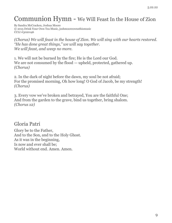# Communion Hymn - We Will Feast In the House of Zion

By Sandra McCracken, Joshua Moore © 2015 Drink Your Own Tea Music, joshmooreownsthismusic CCLI #3020146

*(Chorus) We will feast in the house of Zion. We will sing with our hearts restored. "He has done great things," we will say together. We will feast, and weep no more.*

1. We will not be burned by the fire; He is the Lord our God. We are not consumed by the flood — upheld, protected, gathered up. *(Chorus)*

2. In the dark of night before the dawn, my soul be not afraid; For the promised morning, Oh how long! O God of Jacob, be my strength! *(Chorus)*

3. Every vow we've broken and betrayed, You are the faithful One; And from the garden to the grave, bind us together, bring shalom. *(Chorus x2)*

Gloria Patri

Glory be to the Father, And to the Son, and to the Holy Ghost. As it was in the beginning, Is now and ever shall be; World without end. Amen. Amen.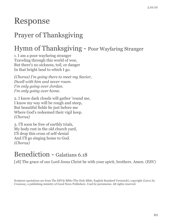# Response

# Prayer of Thanksgiving

# Hymn of Thanksgiving - Poor Wayfaring Stranger

1. I am a poor wayfaring stranger Traveling through this world of woe, But there's no sickness, toil, or danger In that bright land to which I go.

*(Chorus) I'm going there to meet my Savior, Dwell with him and never roam. I'm only going over Jordan. I'm only going over home.*

2. I know dark clouds will gather 'round me, I know my way will be rough and steep, But beautiful fields lie just before me Where God's redeemed their vigil keep. *(Chorus)*

3. I'll soon be free of earthly trials, My body rest in the old church yard, I'll drop this cross of self-denial And I'll go singing home to God. *(Chorus)*

### Benediction - Galatians 6.18

[18] The grace of our Lord Jesus Christ be with your spirit, brothers. Amen. (ESV)

Scripture quotations are from The ESV® Bible (The Holy Bible, English Standard Version®), copyright ©2011 by Crossway, a publishing ministry of Good News Publishers. Used by permission. All rights reserved.